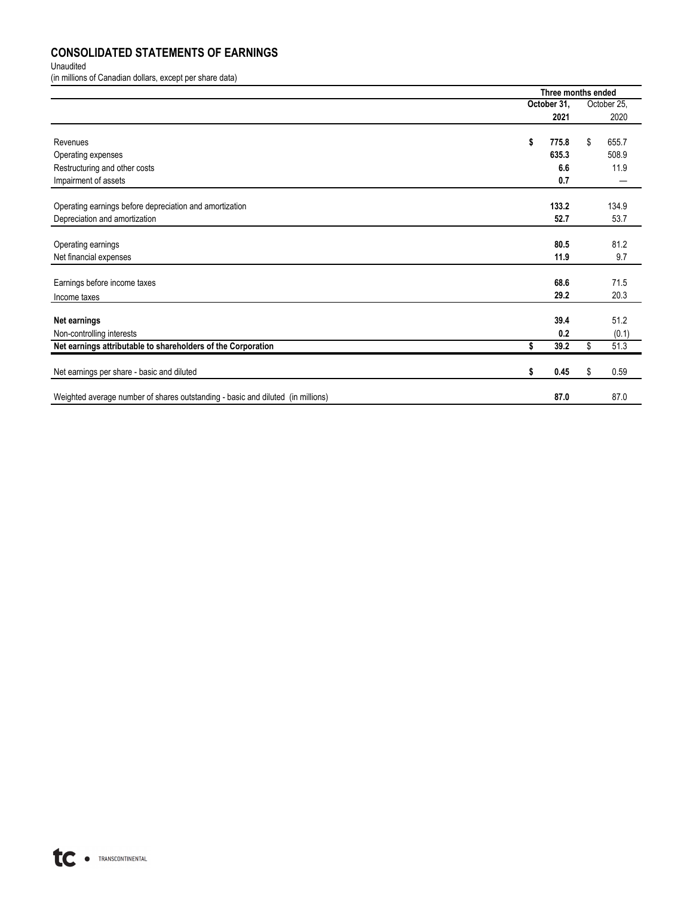## **CONSOLIDATED STATEMENTS OF EARNINGS**

Unaudited

(in millions of Canadian dollars, except per share data)

|                                                                                 | Three months ended |             |    |             |  |
|---------------------------------------------------------------------------------|--------------------|-------------|----|-------------|--|
|                                                                                 |                    | October 31, |    | October 25. |  |
|                                                                                 |                    | 2021        |    | 2020        |  |
| Revenues                                                                        | \$                 | 775.8       | \$ | 655.7       |  |
| Operating expenses                                                              |                    | 635.3       |    | 508.9       |  |
| Restructuring and other costs                                                   |                    | 6.6         |    | 11.9        |  |
| Impairment of assets                                                            |                    | 0.7         |    |             |  |
| Operating earnings before depreciation and amortization                         |                    | 133.2       |    | 134.9       |  |
| Depreciation and amortization                                                   |                    | 52.7        |    | 53.7        |  |
| Operating earnings                                                              |                    | 80.5        |    | 81.2        |  |
| Net financial expenses                                                          |                    | 11.9        |    | 9.7         |  |
| Earnings before income taxes                                                    |                    | 68.6        |    | 71.5        |  |
| Income taxes                                                                    |                    | 29.2        |    | 20.3        |  |
| Net earnings                                                                    |                    | 39.4        |    | 51.2        |  |
| Non-controlling interests                                                       |                    | 0.2         |    | (0.1)       |  |
| Net earnings attributable to shareholders of the Corporation                    | \$                 | 39.2        | \$ | 51.3        |  |
| Net earnings per share - basic and diluted                                      | \$                 | 0.45        | \$ | 0.59        |  |
| Weighted average number of shares outstanding - basic and diluted (in millions) |                    | 87.0        |    | 87.0        |  |